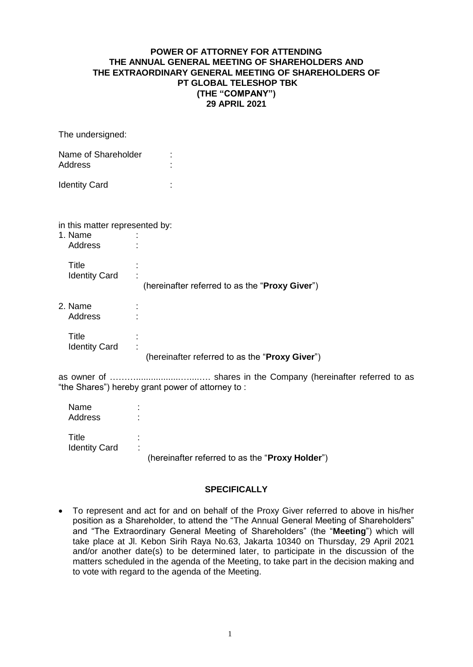## **POWER OF ATTORNEY FOR ATTENDING THE ANNUAL GENERAL MEETING OF SHAREHOLDERS AND THE EXTRAORDINARY GENERAL MEETING OF SHAREHOLDERS OF PT GLOBAL TELESHOP TBK (THE "COMPANY") 29 APRIL 2021**

The undersigned:

| Name of Shareholder<br><b>Address</b>                |   |                                                |  |  |
|------------------------------------------------------|---|------------------------------------------------|--|--|
| <b>Identity Card</b>                                 |   |                                                |  |  |
| in this matter represented by:<br>1. Name<br>Address |   |                                                |  |  |
| Title<br><b>Identity Card</b>                        | t | (hereinafter referred to as the "Proxy Giver") |  |  |
| 2. Name<br>Address                                   | ٠ |                                                |  |  |

**Title** Identity Card (hereinafter referred to as the "**Proxy Giver**")

as owner of ………..................…....…. shares in the Company (hereinafter referred to as "the Shares") hereby grant power of attorney to :

| Name<br>Address               |                                                           |
|-------------------------------|-----------------------------------------------------------|
| Title<br><b>Identity Card</b> | ٠<br>٠<br>(hereinafter referred to as the "Proxy Holder") |

## **SPECIFICALLY**

 To represent and act for and on behalf of the Proxy Giver referred to above in his/her position as a Shareholder, to attend the "The Annual General Meeting of Shareholders" and "The Extraordinary General Meeting of Shareholders" (the "**Meeting**") which will take place at Jl. Kebon Sirih Raya No.63, Jakarta 10340 on Thursday, 29 April 2021 and/or another date(s) to be determined later, to participate in the discussion of the matters scheduled in the agenda of the Meeting, to take part in the decision making and to vote with regard to the agenda of the Meeting.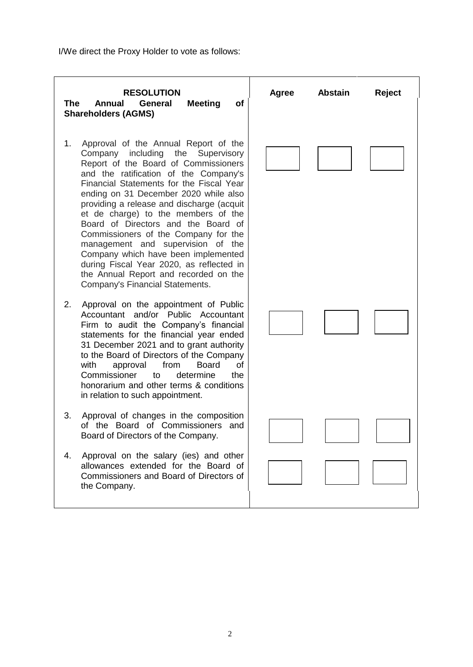